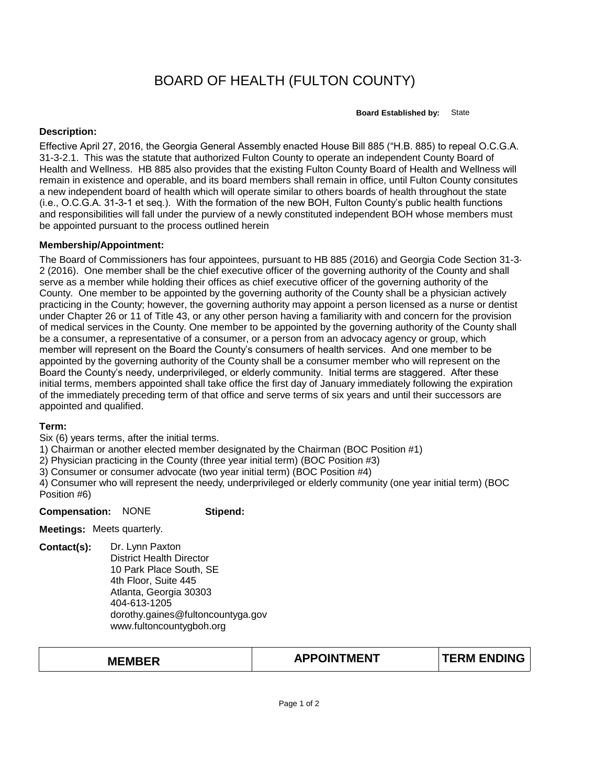# BOARD OF HEALTH (FULTON COUNTY)

**Board Established by:** State

#### **Description:**

Effective April 27, 2016, the Georgia General Assembly enacted House Bill 885 ("H.B. 885) to repeal O.C.G.A. 31-3-2.1. This was the statute that authorized Fulton County to operate an independent County Board of Health and Wellness. HB 885 also provides that the existing Fulton County Board of Health and Wellness will remain in existence and operable, and its board members shall remain in office, until Fulton County consitutes a new independent board of health which will operate similar to others boards of health throughout the state (i.e., O.C.G.A. 31-3-1 et seq.). With the formation of the new BOH, Fulton County's public health functions and responsibilities will fall under the purview of a newly constituted independent BOH whose members must be appointed pursuant to the process outlined herein

### **Membership/Appointment:**

The Board of Commissioners has four appointees, pursuant to HB 885 (2016) and Georgia Code Section 31-3- 2 (2016). One member shall be the chief executive officer of the governing authority of the County and shall serve as a member while holding their offices as chief executive officer of the governing authority of the County. One member to be appointed by the governing authority of the County shall be a physician actively practicing in the County; however, the governing authority may appoint a person licensed as a nurse or dentist under Chapter 26 or 11 of Title 43, or any other person having a familiarity with and concern for the provision of medical services in the County. One member to be appointed by the governing authority of the County shall be a consumer, a representative of a consumer, or a person from an advocacy agency or group, which member will represent on the Board the County's consumers of health services. And one member to be appointed by the governing authority of the County shall be a consumer member who will represent on the Board the County's needy, underprivileged, or elderly community. Initial terms are staggered. After these initial terms, members appointed shall take office the first day of January immediately following the expiration of the immediately preceding term of that office and serve terms of six years and until their successors are appointed and qualified.

#### **Term:**

Six (6) years terms, after the initial terms.

1) Chairman or another elected member designated by the Chairman (BOC Position #1)

2) Physician practicing in the County (three year initial term) (BOC Position #3)

3) Consumer or consumer advocate (two year initial term) (BOC Position #4)

4) Consumer who will represent the needy, underprivileged or elderly community (one year initial term) (BOC Position #6)

#### **Compensation:** NONE **Stipend:**

**Meetings:** Meets quarterly.

**Contact(s):** Dr. Lynn Paxton District Health Director 10 Park Place South, SE 4th Floor, Suite 445 Atlanta, Georgia 30303 404-613-1205 dorothy.gaines@fultoncountyga.gov www.fultoncountygboh.org

## **MEMBER TERM ENDING APPOINTMENT**